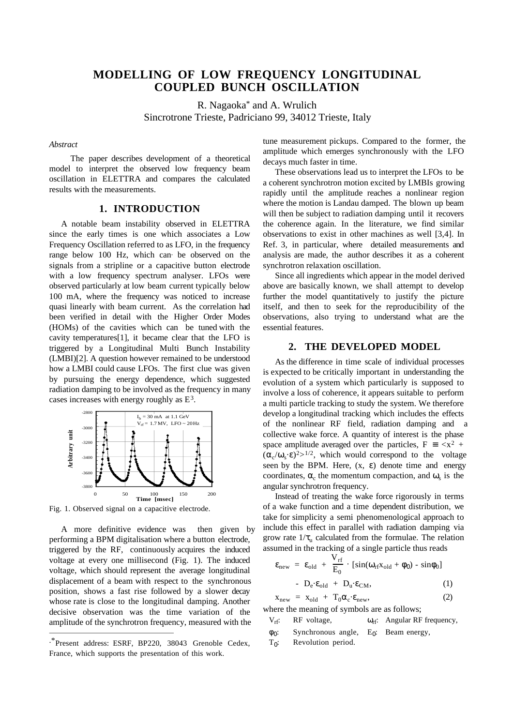# **MODELLING OF LOW FREQUENCY LONGITUDINAL COUPLED BUNCH OSCILLATION**

R. Nagaoka\* and A. Wrulich Sincrotrone Trieste, Padriciano 99, 34012 Trieste, Italy

#### *Abstract*

The paper describes development of a theoretical model to interpret the observed low frequency beam oscillation in ELETTRA and compares the calculated results with the measurements.

## **1. INTRODUCTION**

A notable beam instability observed in ELETTRA since the early times is one which associates a Low Frequency Oscillation referred to as LFO, in the frequency range below 100 Hz, which can be observed on the signals from a stripline or a capacitive button electrode with a low frequency spectrum analyser. LFOs were observed particularly at low beam current typically below 100 mA, where the frequency was noticed to increase quasi linearly with beam current. As the correlation had been verified in detail with the Higher Order Modes (HOMs) of the cavities which can be tuned with the cavity temperatures[1], it became clear that the LFO is triggered by a Longitudinal Multi Bunch Instability (LMBI)[2]. A question however remained to be understood how a LMBI could cause LFOs. The first clue was given by pursuing the energy dependence, which suggested radiation damping to be involved as the frequency in many cases increases with energy roughly as  $E^3$ .



Fig. 1. Observed signal on a capacitive electrode.

A more definitive evidence was then given by performing a BPM digitalisation where a button electrode, triggered by the RF, continuously acquires the induced voltage at every one millisecond (Fig. 1). The induced voltage, which should represent the average longitudinal displacement of a beam with respect to the synchronous position, shows a fast rise followed by a slower decay whose rate is close to the longitudinal damping. Another decisive observation was the time variation of the amplitude of the synchrotron frequency, measured with the

 $\overline{a}$ 

tune measurement pickups. Compared to the former, the amplitude which emerges synchronously with the LFO decays much faster in time.

These observations lead us to interpret the LFOs to be a coherent synchrotron motion excited by LMBIs growing rapidly until the amplitude reaches a nonlinear region where the motion is Landau damped. The blown up beam will then be subject to radiation damping until it recovers the coherence again. In the literature, we find similar observations to exist in other machines as well [3,4]. In Ref. 3, in particular, where detailed measurements and analysis are made, the author describes it as a coherent synchrotron relaxation oscillation.

Since all ingredients which appear in the model derived above are basically known, we shall attempt to develop further the model quantitatively to justify the picture itself, and then to seek for the reproducibility of the observations, also trying to understand what are the essential features.

#### **2. THE DEVELOPED MODEL**

As the difference in time scale of individual processes is expected to be critically important in understanding the evolution of a system which particularly is supposed to involve a loss of coherence, it appears suitable to perform a multi particle tracking to study the system. We therefore develop a longitudinal tracking which includes the effects of the nonlinear RF field, radiation damping and a collective wake force. A quantity of interest is the phase space amplitude averaged over the particles,  $F = \langle x^2 + x \rangle$  $(\alpha_c/\omega_s \cdot \varepsilon)^2 > 1/2$ , which would correspond to the voltage seen by the BPM. Here,  $(x, \varepsilon)$  denote time and energy coordinates,  $\alpha_c$  the momentum compaction, and  $\omega_s$  is the angular synchrotron frequency.

Instead of treating the wake force rigorously in terms of a wake function and a time dependent distribution, we take for simplicity a semi phenomenological approach to include this effect in parallel with radiation damping via grow rate  $1/\tau_u$  calculated from the formulae. The relation assumed in the tracking of a single particle thus reads

$$
\varepsilon_{\text{new}} = \varepsilon_{\text{old}} + \frac{V_{\text{rf}}}{E_0} \cdot [\sin(\omega_{\text{rf}} x_{\text{old}} + \phi_0) - \sin \phi_0]
$$
  
- 
$$
D_e \varepsilon_{\text{old}} + D_u \varepsilon_{\text{CM}}, \qquad (1)
$$

$$
x_{new} = x_{old} + T_0 \alpha_c \cdot \varepsilon_{new}, \qquad (2)
$$

where the meaning of symbols are as follows;

- $V_{rf}$ : RF voltage,  $\omega_{rf}$ : Angular RF frequency,
- $\phi_0$ : Synchronous angle, E<sub>0</sub>: Beam energy,
- $T_0$ : Revolution period.

<sup>.\*</sup>Present address: ESRF, BP220, 38043 Grenoble Cedex, France, which supports the presentation of this work.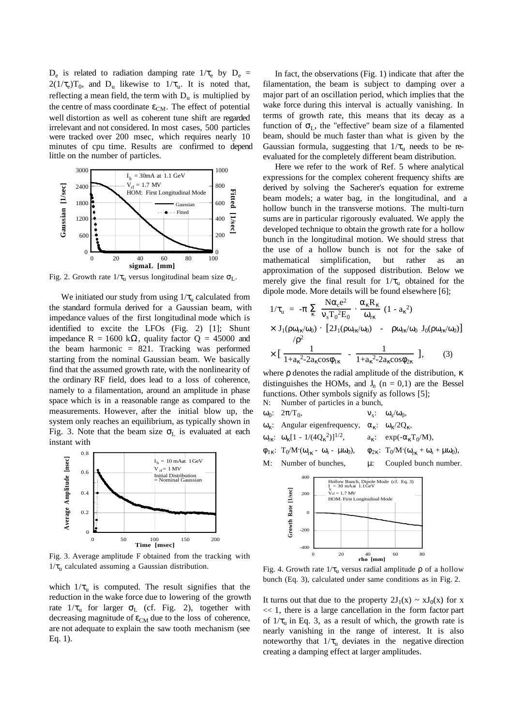$D_e$  is related to radiation damping rate  $1/\tau_e$  by  $D_e$  =  $2(1/\tau_e)T_0$ , and D<sub>u</sub> likewise to  $1/\tau_u$ . It is noted that, reflecting a mean field, the term with  $D_u$  is multiplied by the centre of mass coordinate  $\varepsilon_{CM}$ . The effect of potential well distortion as well as coherent tune shift are regarded irrelevant and not considered. In most cases, 500 particles were tracked over 200 msec, which requires nearly 10 minutes of cpu time. Results are confirmed to depend little on the number of particles.



Fig. 2. Growth rate  $1/\tau_u$  versus longitudinal beam size  $\sigma_L$ .

We initiated our study from using  $1/\tau_{\text{u}}$  calculated from the standard formula derived for a Gaussian beam, with impedance values of the first longitudinal mode which is identified to excite the LFOs (Fig. 2) [1]; Shunt impedance R = 1600 kΩ, quality factor  $Q = 45000$  and the beam harmonic = 821. Tracking was performed starting from the nominal Gaussian beam. We basically find that the assumed growth rate, with the nonlinearity of the ordinary RF field, does lead to a loss of coherence, namely to a filamentation, around an amplitude in phase space which is in a reasonable range as compared to the measurements. However, after the initial blow up, the system only reaches an equilibrium, as typically shown in Fig. 3. Note that the beam size  $\sigma_L$  is evaluated at each instant with



Fig. 3. Average amplitude F obtained from the tracking with  $1/\tau$ <sub>u</sub> calculated assuming a Gaussian distribution.

which  $1/\tau_u$  is computed. The result signifies that the reduction in the wake force due to lowering of the growth rate  $1/\tau_u$  for larger  $\sigma_L$  (cf. Fig. 2), together with decreasing magnitude of  $\varepsilon_{CM}$  due to the loss of coherence, are not adequate to explain the saw tooth mechanism (see Eq. 1).

In fact, the observations (Fig. 1) indicate that after the filamentation, the beam is subject to damping over a major part of an oscillation period, which implies that the wake force during this interval is actually vanishing. In terms of growth rate, this means that its decay as a function of  $\sigma_L$ , the "effective" beam size of a filamented beam, should be much faster than what is given by the Gaussian formula, suggesting that  $1/\tau_{\text{u}}$  needs to be reevaluated for the completely different beam distribution.

Here we refer to the work of Ref. 5 where analytical expressions for the complex coherent frequency shifts are derived by solving the Sacherer's equation for extreme beam models; a water bag, in the longitudinal, and a hollow bunch in the transverse motions. The multi-turn sums are in particular rigorously evaluated. We apply the developed technique to obtain the growth rate for a hollow bunch in the longitudinal motion. We should stress that the use of a hollow bunch is not for the sake of mathematical simplification, but rather as an approximation of the supposed distribution. Below we merely give the final result for  $1/\tau_{\text{u}}$  obtained for the dipole mode. More details will be found elsewhere [6];

$$
1/\tau_{u} = -\pi \sum_{\kappa} \frac{N\alpha_{c}e^{2}}{v_{s}T_{0}^{2}E_{0}} \cdot \frac{\alpha_{\kappa}R_{\kappa}}{\omega_{r\kappa}} (1 - a_{\kappa}^{2})
$$
  
 
$$
\times J_{1}(\rho\omega_{r\kappa}/\omega_{0}) \cdot [2J_{1}(\rho\omega_{r\kappa}/\omega_{0}) - \rho\omega_{r\kappa}/\omega_{0} J_{0}(\rho\omega_{r\kappa}/\omega_{0})]
$$
  
 
$$
\times [\frac{1}{1 + a_{\kappa}^{2} - 2a_{\kappa}cos\phi_{1\kappa}} - \frac{1}{1 + a_{\kappa}^{2} - 2a_{\kappa}cos\phi_{2\kappa}}], \qquad (3)
$$

where  $ρ$  denotes the radial amplitude of the distribution, κ distinguishes the HOMs, and  $J_n$  (n = 0,1) are the Bessel functions. Other symbols signify as follows [5]; N: Number of particles in a bunch,

- $ω_0$ : 2π/T<sub>0</sub>,  $v_s$ :  $ω_s/ω_0$ , ω<sub>κ</sub>: Angular eigenfrequency,  $\alpha_{\kappa}$ :  $\omega_{\kappa}/2Q_{\kappa}$ ,
- ω<sub>rκ</sub>: ω<sub>κ</sub>[1 1/(4Q<sub>κ</sub><sup>2</sup>)]<sup>1/2</sup>,  $a_{\kappa}$ : exp(- $\alpha_{\kappa}T_0/M$ ),
- $\phi_{1\kappa}$ : T<sub>0</sub>/M·( $\omega_{r\kappa}$   $\omega_{s}$   $\mu\omega_{0}$ ),  $\phi_{2\kappa}$ : T<sub>0</sub>/M·  $\phi_{2\kappa}$ : T<sub>0</sub>/M·( $\omega_{\kappa\kappa}$  +  $\omega_{s}$  +  $\mu\omega_{0}$ ),





Fig. 4. Growth rate  $1/\tau_u$  versus radial amplitude  $\rho$  of a hollow bunch (Eq. 3), calculated under same conditions as in Fig. 2.

It turns out that due to the property  $2J_1(x) \sim xJ_0(x)$  for x  $<< 1$ , there is a large cancellation in the form factor part of  $1/\tau_{\text{u}}$  in Eq. 3, as a result of which, the growth rate is nearly vanishing in the range of interest. It is also noteworthy that  $1/\tau_{\text{u}}$  deviates in the negative direction creating a damping effect at larger amplitudes.